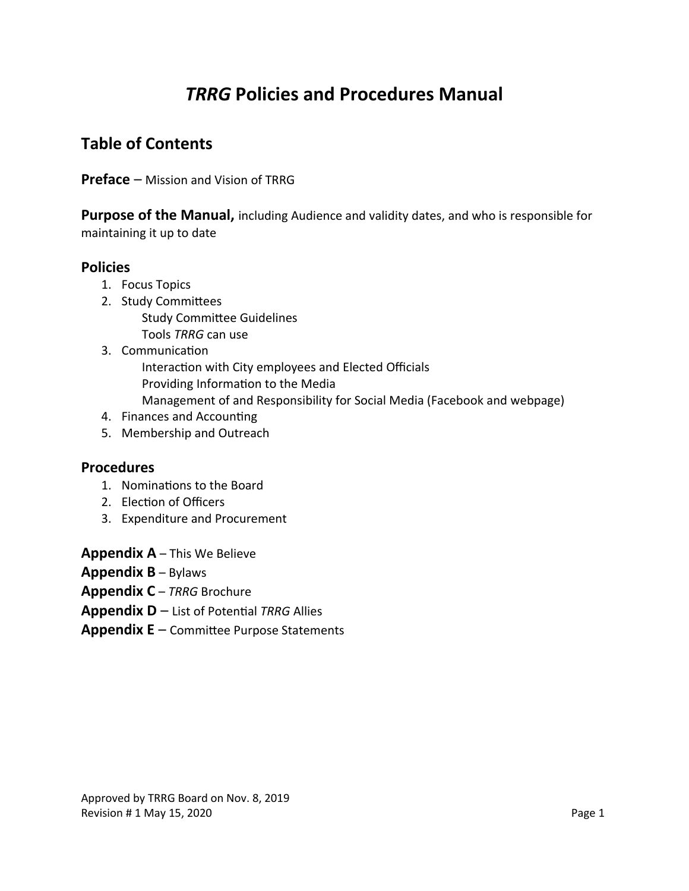# *TRRG* **Policies and Procedures Manual**

## **Table of Contents**

**Preface** – Mission and Vision of TRRG

**Purpose of the Manual,** including Audience and validity dates, and who is responsible for maintaining it up to date

#### **Policies**

- 1. Focus Topics
- 2. Study Committees Study Committee Guidelines Tools *TRRG* can use
- 3. Communication
	- Interaction with City employees and Elected Officials Providing Information to the Media Management of and Responsibility for Social Media (Facebook and webpage)
- 4. Finances and Accounting
- 5. Membership and Outreach

#### **Procedures**

- 1. Nominations to the Board
- 2. Election of Officers
- 3. Expenditure and Procurement

**Appendix A** – This We Believe

- **Appendix B** Bylaws
- **Appendix C** *TRRG* Brochure
- **Appendix D** List of Potential *TRRG* Allies
- **Appendix E** Committee Purpose Statements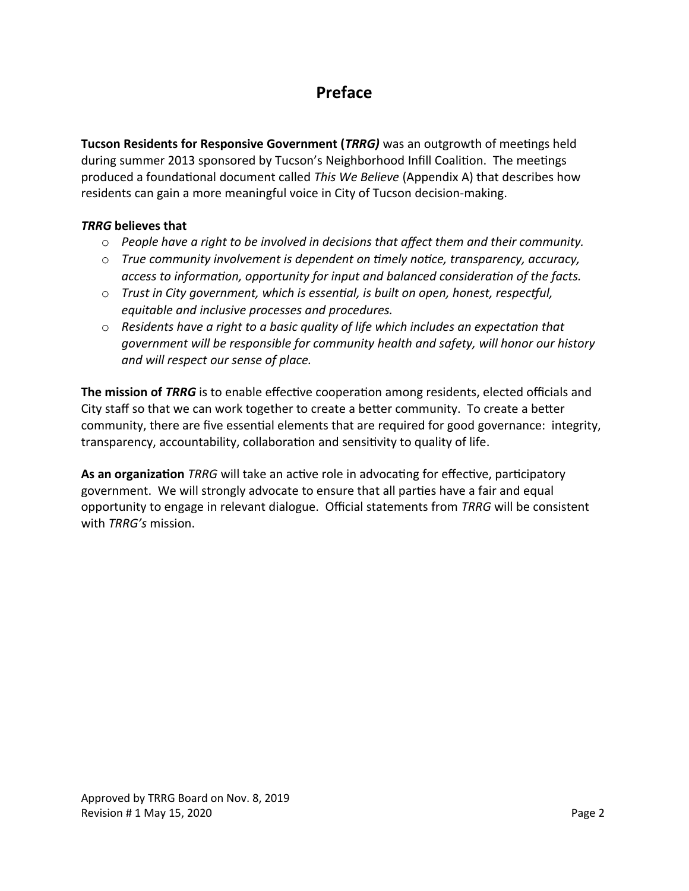## **Preface**

**Tucson Residents for Responsive Government (***TRRG)* was an outgrowth of meetings held during summer 2013 sponsored by Tucson's Neighborhood Infill Coalition. The meetings produced a foundational document called *This We Believe* (Appendix A) that describes how residents can gain a more meaningful voice in City of Tucson decision-making.

#### *TRRG* **believes that**

- o *People have a right to be involved in decisions that affect them and their community.*
- o *True community involvement is dependent on timely notice, transparency, accuracy, access to information, opportunity for input and balanced consideration of the facts.*
- o *Trust in City government, which is essential, is built on open, honest, respectful, equitable and inclusive processes and procedures.*
- o *Residents have a right to a basic quality of life which includes an expectation that government will be responsible for community health and safety, will honor our history and will respect our sense of place.*

**The mission of** *TRRG* is to enable effective cooperation among residents, elected officials and City staff so that we can work together to create a better community. To create a better community, there are five essential elements that are required for good governance: integrity, transparency, accountability, collaboration and sensitivity to quality of life.

**As an organization** *TRRG* will take an active role in advocating for effective, participatory government. We will strongly advocate to ensure that all parties have a fair and equal opportunity to engage in relevant dialogue. Official statements from *TRRG* will be consistent with *TRRG's* mission.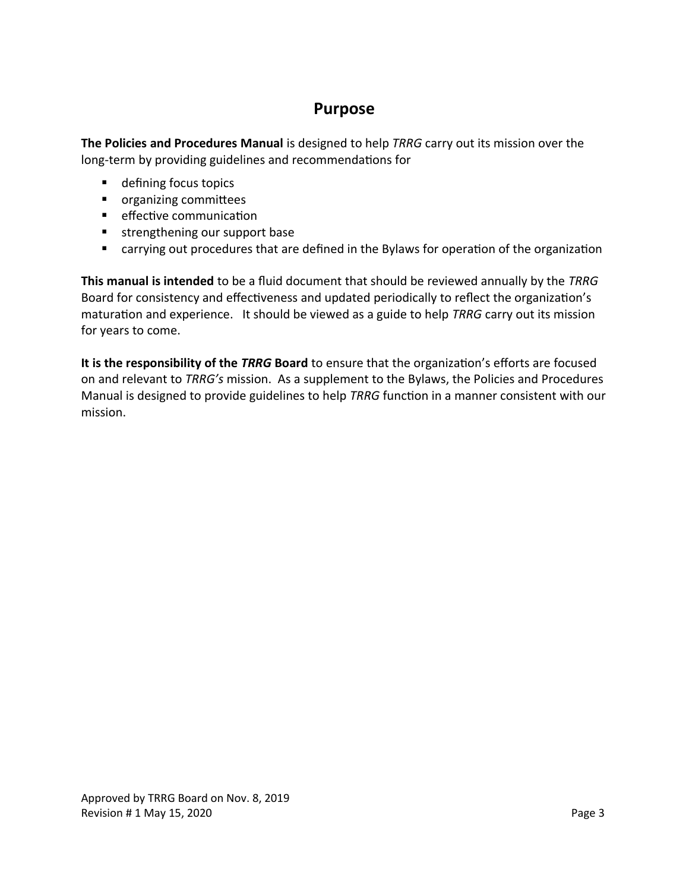## **Purpose**

**The Policies and Procedures Manual** is designed to help *TRRG* carry out its mission over the long-term by providing guidelines and recommendations for

- defining focus topics
- **•** organizing committees
- **EXECUTE:** effective communication
- **strengthening our support base**
- carrying out procedures that are defined in the Bylaws for operation of the organization

**This manual is intended** to be a fluid document that should be reviewed annually by the *TRRG*  Board for consistency and effectiveness and updated periodically to reflect the organization's maturation and experience. It should be viewed as a guide to help *TRRG* carry out its mission for years to come.

**It is the responsibility of the** *TRRG* **Board** to ensure that the organization's efforts are focused on and relevant to *TRRG's* mission. As a supplement to the Bylaws, the Policies and Procedures Manual is designed to provide guidelines to help *TRRG* function in a manner consistent with our mission.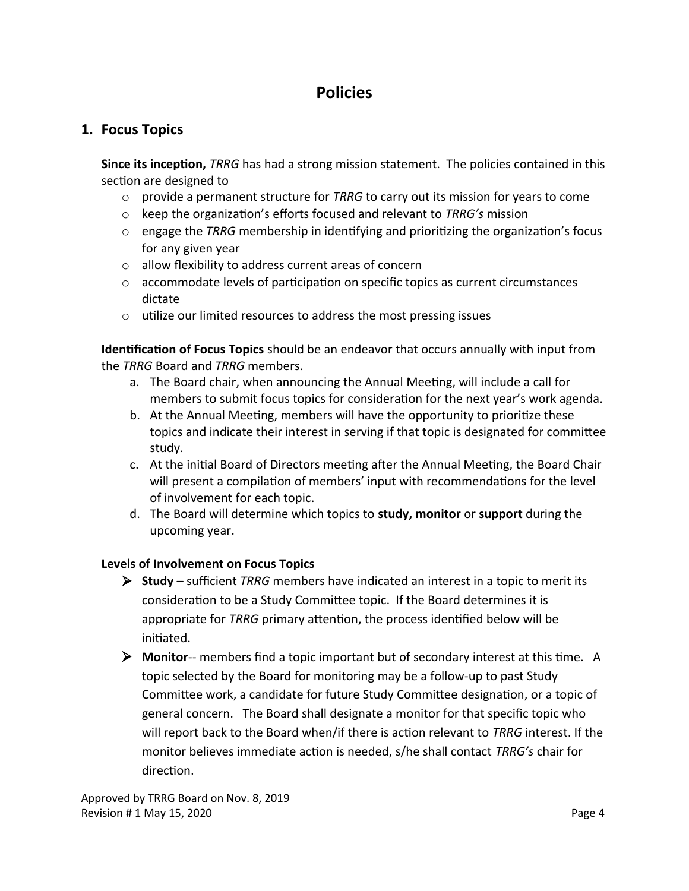## **Policies**

### **1. Focus Topics**

**Since its inception,** *TRRG* has had a strong mission statement. The policies contained in this section are designed to

- o provide a permanent structure for *TRRG* to carry out its mission for years to come
- o keep the organization's efforts focused and relevant to *TRRG's* mission
- o engage the *TRRG* membership in identifying and prioritizing the organization's focus for any given year
- o allow flexibility to address current areas of concern
- $\circ$  accommodate levels of participation on specific topics as current circumstances dictate
- o utilize our limited resources to address the most pressing issues

**Identification of Focus Topics** should be an endeavor that occurs annually with input from the *TRRG* Board and *TRRG* members.

- a. The Board chair, when announcing the Annual Meeting, will include a call for members to submit focus topics for consideration for the next year's work agenda.
- b. At the Annual Meeting, members will have the opportunity to prioritize these topics and indicate their interest in serving if that topic is designated for committee study.
- c. At the initial Board of Directors meeting after the Annual Meeting, the Board Chair will present a compilation of members' input with recommendations for the level of involvement for each topic.
- d. The Board will determine which topics to **study, monitor** or **support** during the upcoming year.

#### **Levels of Involvement on Focus Topics**

- **Study**  sufficient *TRRG* members have indicated an interest in a topic to merit its consideration to be a Study Committee topic. If the Board determines it is appropriate for *TRRG* primary attention, the process identified below will be initiated.
- **Monitor**-- members find a topic important but of secondary interest at this time. A topic selected by the Board for monitoring may be a follow-up to past Study Committee work, a candidate for future Study Committee designation, or a topic of general concern. The Board shall designate a monitor for that specific topic who will report back to the Board when/if there is action relevant to *TRRG* interest. If the monitor believes immediate action is needed, s/he shall contact *TRRG's* chair for direction.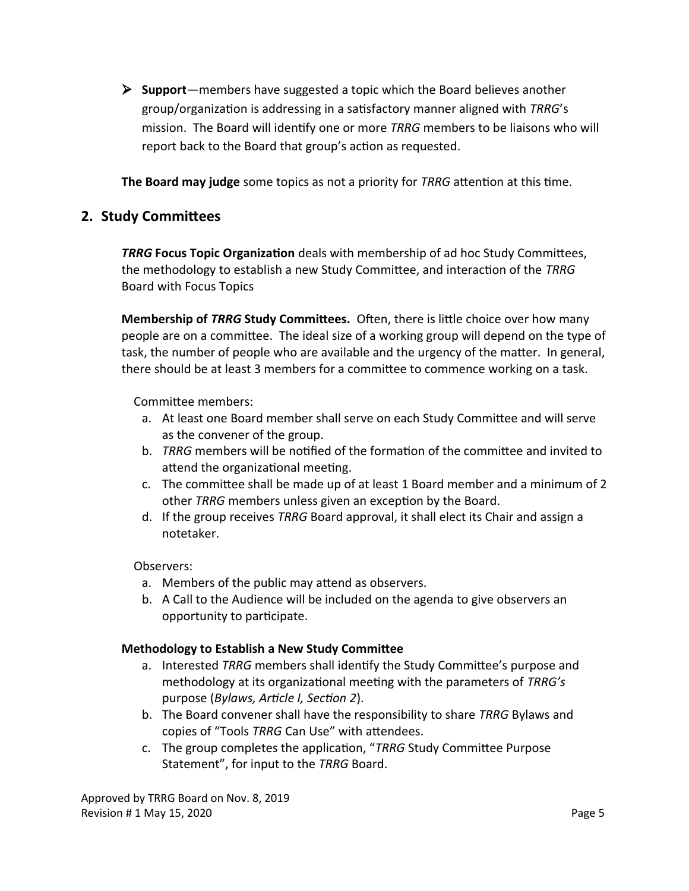**Support**—members have suggested a topic which the Board believes another group/organization is addressing in a satisfactory manner aligned with *TRRG*'s mission. The Board will identify one or more *TRRG* members to be liaisons who will report back to the Board that group's action as requested.

**The Board may judge** some topics as not a priority for *TRRG* attention at this time.

#### **2. Study Committees**

*TRRG* **Focus Topic Organization** deals with membership of ad hoc Study Committees, the methodology to establish a new Study Committee, and interaction of the *TRRG*  Board with Focus Topics

**Membership of** *TRRG* **Study Committees.** Often, there is little choice over how many people are on a committee. The ideal size of a working group will depend on the type of task, the number of people who are available and the urgency of the matter. In general, there should be at least 3 members for a committee to commence working on a task.

Committee members:

- a. At least one Board member shall serve on each Study Committee and will serve as the convener of the group.
- b. *TRRG* members will be notified of the formation of the committee and invited to attend the organizational meeting.
- c. The committee shall be made up of at least 1 Board member and a minimum of 2 other *TRRG* members unless given an exception by the Board.
- d. If the group receives *TRRG* Board approval, it shall elect its Chair and assign a notetaker.

#### Observers:

- a. Members of the public may attend as observers.
- b. A Call to the Audience will be included on the agenda to give observers an opportunity to participate.

#### **Methodology to Establish a New Study Committee**

- a. Interested *TRRG* members shall identify the Study Committee's purpose and methodology at its organizational meeting with the parameters of *TRRG's*  purpose (*Bylaws, Article I, Section 2*).
- b. The Board convener shall have the responsibility to share *TRRG* Bylaws and copies of "Tools *TRRG* Can Use" with attendees.
- c. The group completes the application, "*TRRG* Study Committee Purpose Statement", for input to the *TRRG* Board.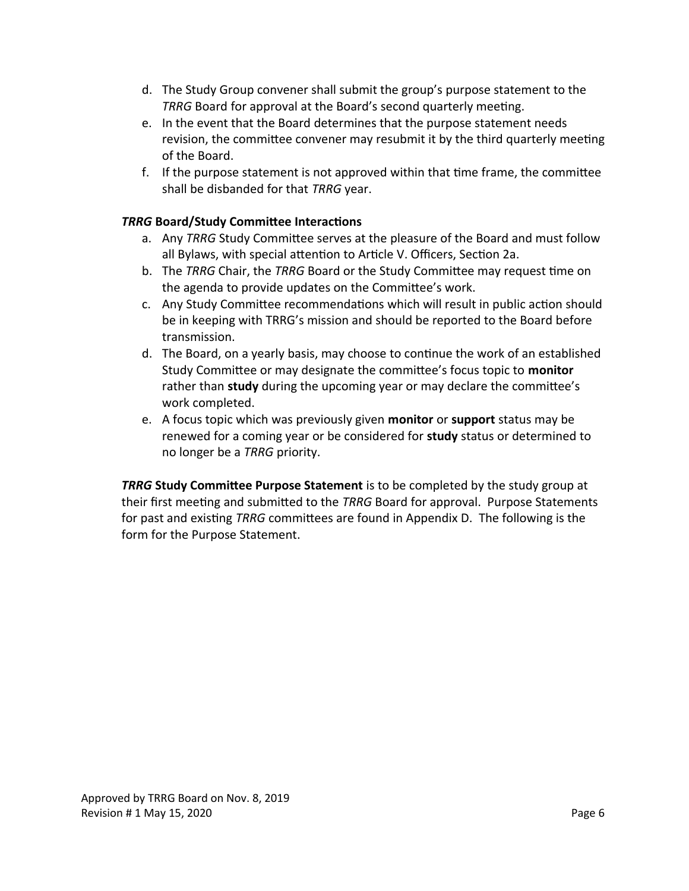- d. The Study Group convener shall submit the group's purpose statement to the *TRRG* Board for approval at the Board's second quarterly meeting.
- e. In the event that the Board determines that the purpose statement needs revision, the committee convener may resubmit it by the third quarterly meeting of the Board.
- f. If the purpose statement is not approved within that time frame, the committee shall be disbanded for that *TRRG* year.

#### *TRRG* **Board/Study Committee Interactions**

- a. Any *TRRG* Study Committee serves at the pleasure of the Board and must follow all Bylaws, with special attention to Article V. Officers, Section 2a.
- b. The *TRRG* Chair, the *TRRG* Board or the Study Committee may request time on the agenda to provide updates on the Committee's work.
- c. Any Study Committee recommendations which will result in public action should be in keeping with TRRG's mission and should be reported to the Board before transmission.
- d. The Board, on a yearly basis, may choose to continue the work of an established Study Committee or may designate the committee's focus topic to **monitor**  rather than **study** during the upcoming year or may declare the committee's work completed.
- e. A focus topic which was previously given **monitor** or **support** status may be renewed for a coming year or be considered for **study** status or determined to no longer be a *TRRG* priority.

*TRRG* **Study Committee Purpose Statement** is to be completed by the study group at their first meeting and submitted to the *TRRG* Board for approval. Purpose Statements for past and existing *TRRG* committees are found in Appendix D. The following is the form for the Purpose Statement.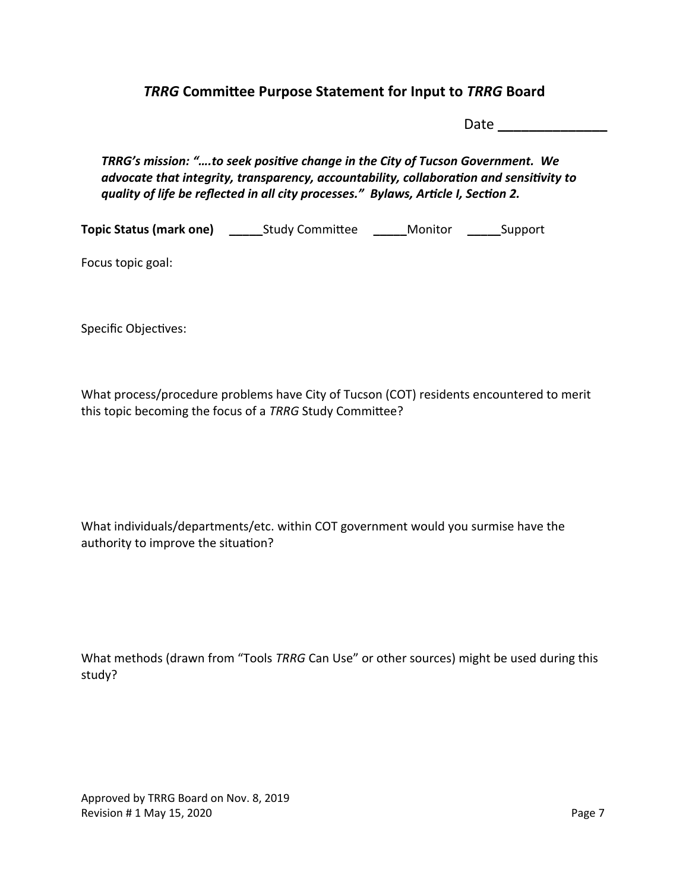### *TRRG* **Committee Purpose Statement for Input to** *TRRG* **Board**

Date **\_\_\_\_\_\_\_\_\_\_\_\_\_\_**

*TRRG's mission: "….to seek positive change in the City of Tucson Government. We advocate that integrity, transparency, accountability, collaboration and sensitivity to quality of life be reflected in all city processes." Bylaws, Article I, Section 2.*

**Topic Status (mark one) \_\_\_\_\_**Study Committee **\_\_\_\_\_**Monitor **\_\_\_\_\_**Support

Focus topic goal:

Specific Objectives:

What process/procedure problems have City of Tucson (COT) residents encountered to merit this topic becoming the focus of a *TRRG* Study Committee?

What individuals/departments/etc. within COT government would you surmise have the authority to improve the situation?

|        |  | What methods (drawn from "Tools TRRG Can Use" or other sources) might be used during this |  |
|--------|--|-------------------------------------------------------------------------------------------|--|
| study? |  |                                                                                           |  |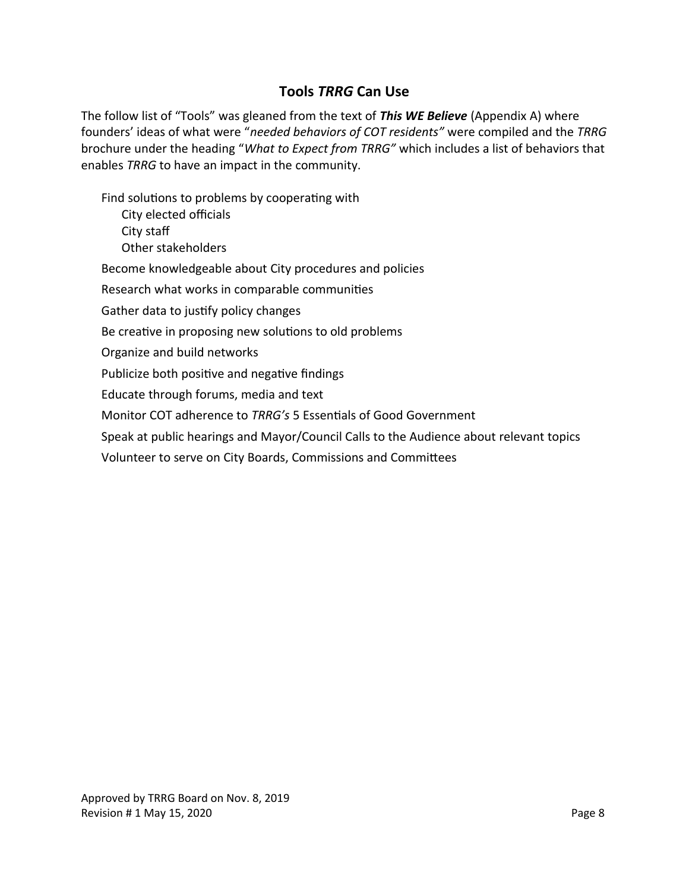### **Tools** *TRRG* **Can Use**

The follow list of "Tools" was gleaned from the text of *This WE Believe* (Appendix A) where founders' ideas of what were "*needed behaviors of COT residents"* were compiled and the *TRRG* brochure under the heading "*What to Expect from TRRG"* which includes a list of behaviors that enables *TRRG* to have an impact in the community.

Find solutions to problems by cooperating with

City elected officials City staff Other stakeholders

Become knowledgeable about City procedures and policies

Research what works in comparable communities

Gather data to justify policy changes

Be creative in proposing new solutions to old problems

Organize and build networks

Publicize both positive and negative findings

Educate through forums, media and text

Monitor COT adherence to *TRRG's* 5 Essentials of Good Government

Speak at public hearings and Mayor/Council Calls to the Audience about relevant topics

Volunteer to serve on City Boards, Commissions and Committees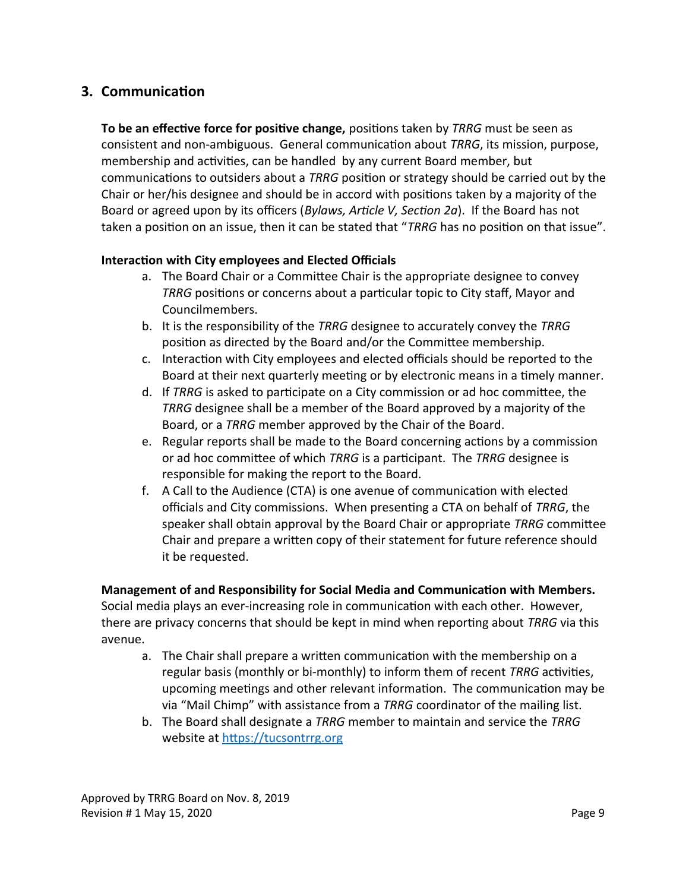### **3. Communication**

**To be an effective force for positive change,** positions taken by *TRRG* must be seen as consistent and non-ambiguous. General communication about *TRRG*, its mission, purpose, membership and activities, can be handled by any current Board member, but communications to outsiders about a *TRRG* position or strategy should be carried out by the Chair or her/his designee and should be in accord with positions taken by a majority of the Board or agreed upon by its officers (*Bylaws, Article V, Section 2a*). If the Board has not taken a position on an issue, then it can be stated that "*TRRG* has no position on that issue".

#### **Interaction with City employees and Elected Officials**

- a. The Board Chair or a Committee Chair is the appropriate designee to convey *TRRG* positions or concerns about a particular topic to City staff, Mayor and Councilmembers.
- b. It is the responsibility of the *TRRG* designee to accurately convey the *TRRG* position as directed by the Board and/or the Committee membership.
- c. Interaction with City employees and elected officials should be reported to the Board at their next quarterly meeting or by electronic means in a timely manner.
- d. If *TRRG* is asked to participate on a City commission or ad hoc committee, the *TRRG* designee shall be a member of the Board approved by a majority of the Board, or a *TRRG* member approved by the Chair of the Board.
- e. Regular reports shall be made to the Board concerning actions by a commission or ad hoc committee of which *TRRG* is a participant. The *TRRG* designee is responsible for making the report to the Board.
- f. A Call to the Audience (CTA) is one avenue of communication with elected officials and City commissions. When presenting a CTA on behalf of *TRRG*, the speaker shall obtain approval by the Board Chair or appropriate *TRRG* committee Chair and prepare a written copy of their statement for future reference should it be requested.

#### **Management of and Responsibility for Social Media and Communication with Members.**

Social media plays an ever-increasing role in communication with each other. However, there are privacy concerns that should be kept in mind when reporting about *TRRG* via this avenue.

- a. The Chair shall prepare a written communication with the membership on a regular basis (monthly or bi-monthly) to inform them of recent *TRRG* activities, upcoming meetings and other relevant information. The communication may be via "Mail Chimp" with assistance from a *TRRG* coordinator of the mailing list.
- b. The Board shall designate a *TRRG* member to maintain and service the *TRRG*  website at [https://tucsontrrg.org](https://tucsontrrg.org/)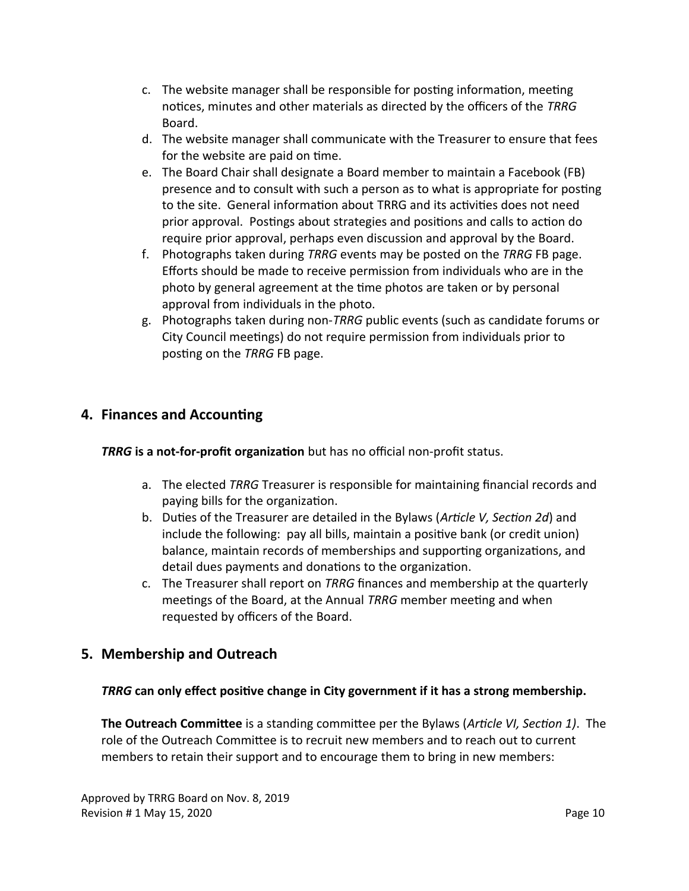- c. The website manager shall be responsible for posting information, meeting notices, minutes and other materials as directed by the officers of the *TRRG*  Board.
- d. The website manager shall communicate with the Treasurer to ensure that fees for the website are paid on time.
- e. The Board Chair shall designate a Board member to maintain a Facebook (FB) presence and to consult with such a person as to what is appropriate for posting to the site. General information about TRRG and its activities does not need prior approval. Postings about strategies and positions and calls to action do require prior approval, perhaps even discussion and approval by the Board.
- f. Photographs taken during *TRRG* events may be posted on the *TRRG* FB page. Efforts should be made to receive permission from individuals who are in the photo by general agreement at the time photos are taken or by personal approval from individuals in the photo.
- g. Photographs taken during non-*TRRG* public events (such as candidate forums or City Council meetings) do not require permission from individuals prior to posting on the *TRRG* FB page.

### **4. Finances and Accounting**

*TRRG* **is a not-for-profit organization** but has no official non-profit status.

- a. The elected *TRRG* Treasurer is responsible for maintaining financial records and paying bills for the organization.
- b. Duties of the Treasurer are detailed in the Bylaws (*Article V, Section 2d*) and include the following: pay all bills, maintain a positive bank (or credit union) balance, maintain records of memberships and supporting organizations, and detail dues payments and donations to the organization.
- c. The Treasurer shall report on *TRRG* finances and membership at the quarterly meetings of the Board, at the Annual *TRRG* member meeting and when requested by officers of the Board.

## **5. Membership and Outreach**

### *TRRG* **can only effect positive change in City government if it has a strong membership.**

**The Outreach Committee** is a standing committee per the Bylaws (*Article VI, Section 1)*. The role of the Outreach Committee is to recruit new members and to reach out to current members to retain their support and to encourage them to bring in new members: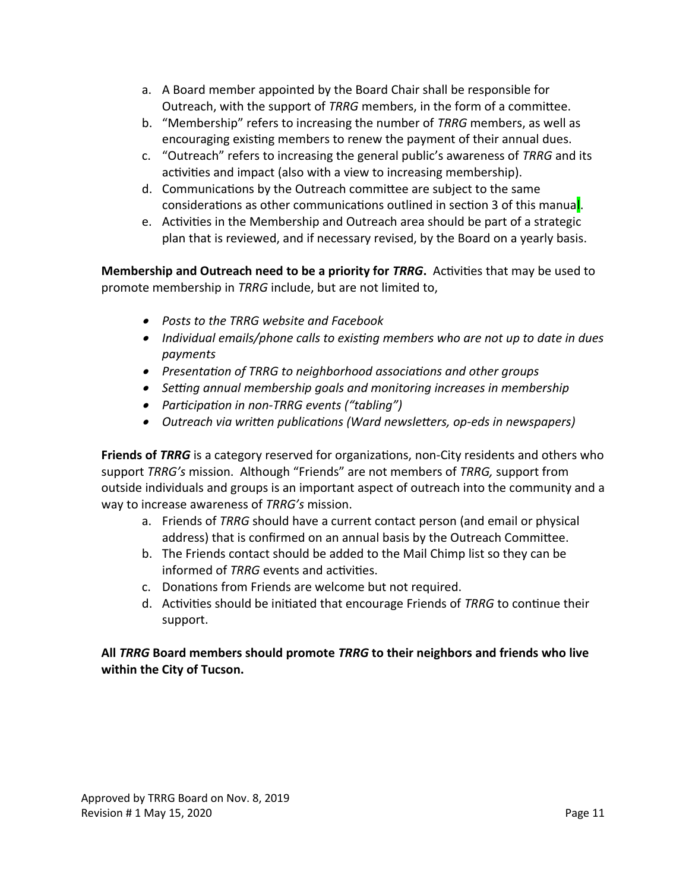- a. A Board member appointed by the Board Chair shall be responsible for Outreach, with the support of *TRRG* members, in the form of a committee.
- b. "Membership" refers to increasing the number of *TRRG* members, as well as encouraging existing members to renew the payment of their annual dues.
- c. "Outreach" refers to increasing the general public's awareness of *TRRG* and its activities and impact (also with a view to increasing membership).
- d. Communications by the Outreach committee are subject to the same considerations as other communications outlined in section 3 of this manual.
- e. Activities in the Membership and Outreach area should be part of a strategic plan that is reviewed, and if necessary revised, by the Board on a yearly basis.

**Membership and Outreach need to be a priority for** *TRRG***.** Activities that may be used to promote membership in *TRRG* include, but are not limited to,

- *Posts to the TRRG website and Facebook*
- *Individual emails/phone calls to existing members who are not up to date in dues payments*
- *Presentation of TRRG to neighborhood associations and other groups*
- *Setting annual membership goals and monitoring increases in membership*
- *Participation in non-TRRG events ("tabling")*
- *Outreach via written publications (Ward newsletters, op-eds in newspapers)*

**Friends of** *TRRG* is a category reserved for organizations, non-City residents and others who support *TRRG's* mission. Although "Friends" are not members of *TRRG,* support from outside individuals and groups is an important aspect of outreach into the community and a way to increase awareness of *TRRG's* mission.

- a. Friends of *TRRG* should have a current contact person (and email or physical address) that is confirmed on an annual basis by the Outreach Committee.
- b. The Friends contact should be added to the Mail Chimp list so they can be informed of *TRRG* events and activities.
- c. Donations from Friends are welcome but not required.
- d. Activities should be initiated that encourage Friends of *TRRG* to continue their support.

#### **All** *TRRG* **Board members should promote** *TRRG* **to their neighbors and friends who live within the City of Tucson.**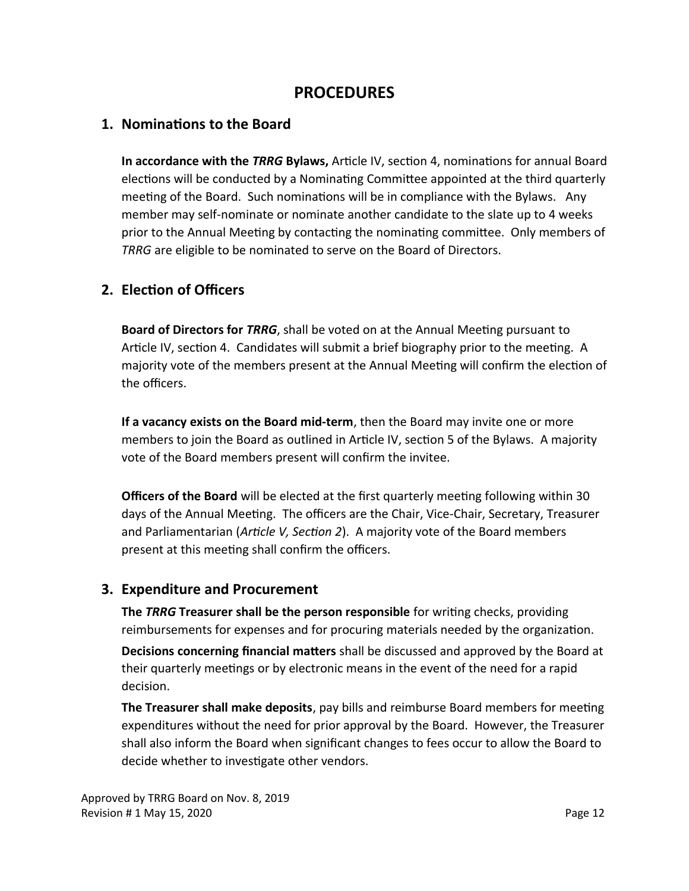## **PROCEDURES**

#### **1. Nominations to the Board**

**In accordance with the** *TRRG* **Bylaws,** Article IV, section 4, nominations for annual Board elections will be conducted by a Nominating Committee appointed at the third quarterly meeting of the Board. Such nominations will be in compliance with the Bylaws. Any member may self-nominate or nominate another candidate to the slate up to 4 weeks prior to the Annual Meeting by contacting the nominating committee. Only members of *TRRG* are eligible to be nominated to serve on the Board of Directors.

### **2. Election of Officers**

**Board of Directors for** *TRRG*, shall be voted on at the Annual Meeting pursuant to Article IV, section 4. Candidates will submit a brief biography prior to the meeting. A majority vote of the members present at the Annual Meeting will confirm the election of the officers.

**If a vacancy exists on the Board mid-term**, then the Board may invite one or more members to join the Board as outlined in Article IV, section 5 of the Bylaws. A majority vote of the Board members present will confirm the invitee.

**Officers of the Board** will be elected at the first quarterly meeting following within 30 days of the Annual Meeting. The officers are the Chair, Vice-Chair, Secretary, Treasurer and Parliamentarian (*Article V, Section 2*). A majority vote of the Board members present at this meeting shall confirm the officers.

### **3. Expenditure and Procurement**

**The** *TRRG* **Treasurer shall be the person responsible** for writing checks, providing reimbursements for expenses and for procuring materials needed by the organization.

**Decisions concerning financial matters** shall be discussed and approved by the Board at their quarterly meetings or by electronic means in the event of the need for a rapid decision.

**The Treasurer shall make deposits**, pay bills and reimburse Board members for meeting expenditures without the need for prior approval by the Board. However, the Treasurer shall also inform the Board when significant changes to fees occur to allow the Board to decide whether to investigate other vendors.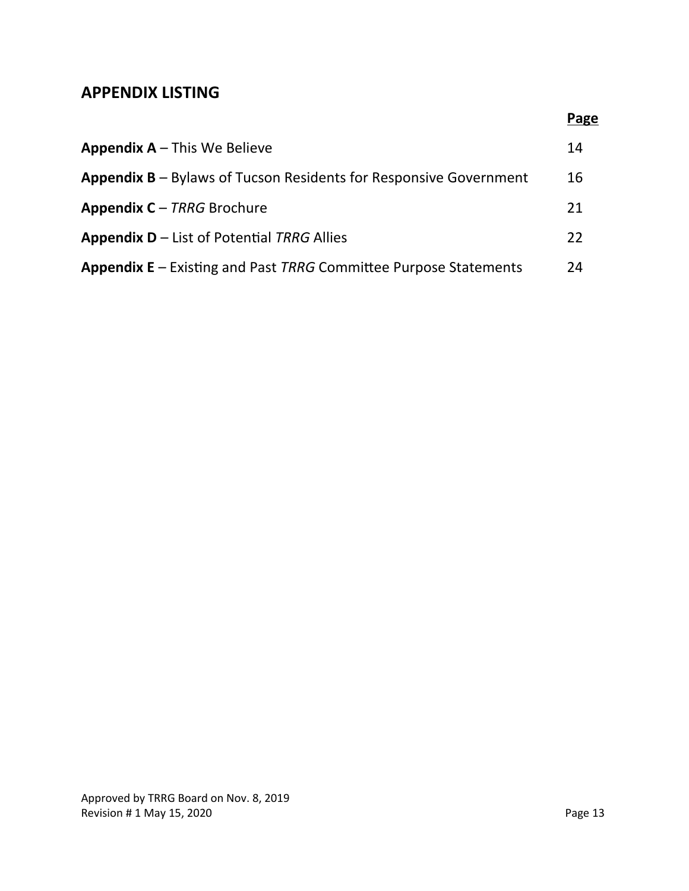## **APPENDIX LISTING**

|                                                                            | <b>Page</b> |
|----------------------------------------------------------------------------|-------------|
| <b>Appendix A</b> $-$ This We Believe                                      | 14          |
| <b>Appendix B</b> $-$ Bylaws of Tucson Residents for Responsive Government | 16          |
| <b>Appendix C</b> – TRRG Brochure                                          | 21          |
| <b>Appendix D</b> $-$ List of Potential TRRG Allies                        | 22          |
| <b>Appendix E</b> – Existing and Past TRRG Committee Purpose Statements    | 24          |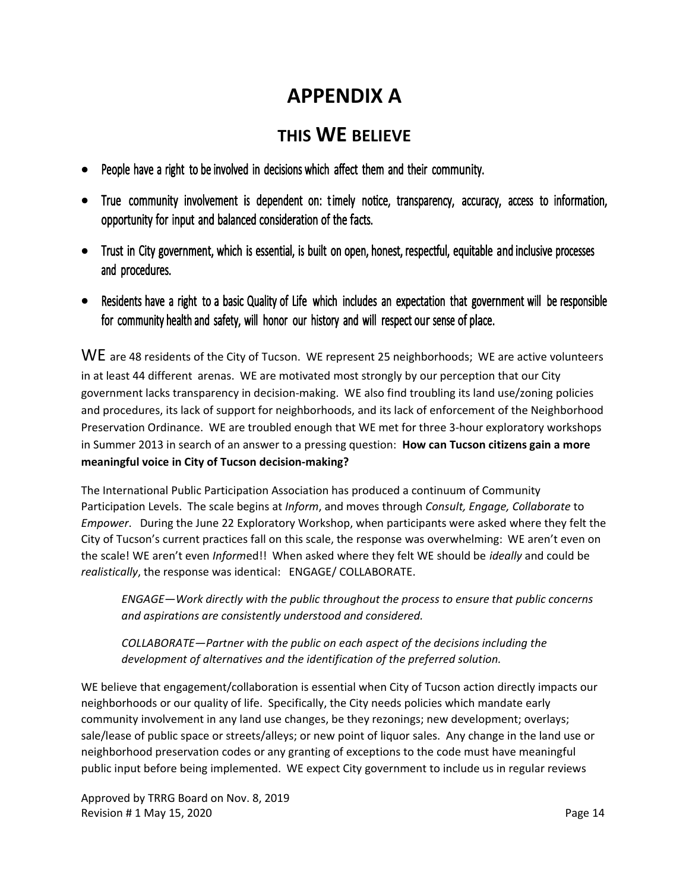# **APPENDIX A**

# **THIS WE BELIEVE**

- People have a right to be involved in decisions which affect them and their community.
- True community involvement is dependent on: timely notice, transparency, accuracy, access to information, opportunity for input and balanced consideration of the facts.
- Trust in City government, which is essential, is built on open, honest, respectful, equitable and inclusive processes and procedures.
- Residents have a right to a basic Quality of Life which includes an expectation that government will be responsible for community health and safety, will honor our history and will respect our sense of place.

WE are 48 residents of the City of Tucson. WE represent 25 neighborhoods; WE are active volunteers in at least 44 different arenas. WE are motivated most strongly by our perception that our City government lacks transparency in decision-making. WE also find troubling its land use/zoning policies and procedures, its lack of support for neighborhoods, and its lack of enforcement of the Neighborhood Preservation Ordinance. WE are troubled enough that WE met for three 3-hour exploratory workshops in Summer 2013 in search of an answer to a pressing question: **How can Tucson citizens gain a more meaningful voice in City of Tucson decision-making?**

The International Public Participation Association has produced a continuum of Community Participation Levels. The scale begins at *Inform*, and moves through *Consult, Engage, Collaborate* to *Empower*. During the June 22 Exploratory Workshop, when participants were asked where they felt the City of Tucson's current practices fall on this scale, the response was overwhelming: WE aren't even on the scale! WE aren't even *Inform*ed!! When asked where they felt WE should be *ideally* and could be *realistically*, the response was identical: ENGAGE/ COLLABORATE.

*ENGAGE—Work directly with the public throughout the process to ensure that public concerns and aspirations are consistently understood and considered.*

*COLLABORATE—Partner with the public on each aspect of the decisions including the development of alternatives and the identification of the preferred solution.*

WE believe that engagement/collaboration is essential when City of Tucson action directly impacts our neighborhoods or our quality of life. Specifically, the City needs policies which mandate early community involvement in any land use changes, be they rezonings; new development; overlays; sale/lease of public space or streets/alleys; or new point of liquor sales. Any change in the land use or neighborhood preservation codes or any granting of exceptions to the code must have meaningful public input before being implemented. WE expect City government to include us in regular reviews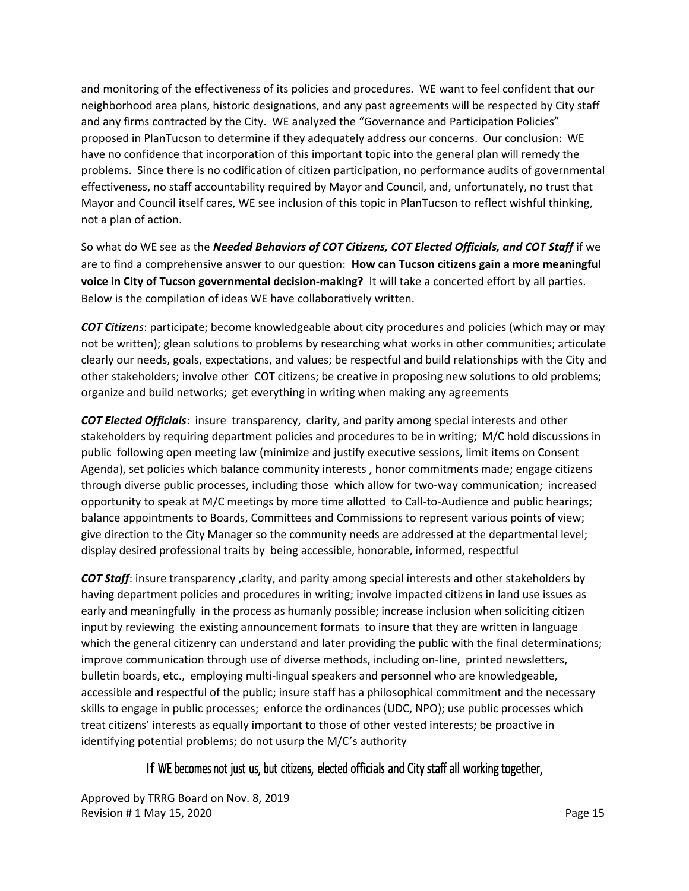and monitoring of the effectiveness of its policies and procedures. WE want to feel confident that our neighborhood area plans, historic designations, and any past agreements will be respected by City staff and any firms contracted by the City. WE analyzed the "Governance and Participation Policies" proposed in PlanTucson to determine if they adequately address our concerns. Our conclusion: WE have no confidence that incorporation of this important topic into the general plan will remedy the problems. Since there is no codification of citizen participation, no performance audits of governmental effectiveness, no staff accountability required by Mayor and Council, and, unfortunately, no trust that Mayor and Council itself cares, WE see inclusion of this topic in PlanTucson to reflect wishful thinking, not a plan of action.

So what do WE see as the *Needed Behaviors of COT Citizens, COT Elected Officials, and COT Staff* if we are to find a comprehensive answer to our question: **How can Tucson citizens gain a more meaningful voice in City of Tucson governmental decision-making?** It will take a concerted effort by all parties. Below is the compilation of ideas WE have collaboratively written.

*COT Citizens*: participate; become knowledgeable about city procedures and policies (which may or may not be written); glean solutions to problems by researching what works in other communities; articulate clearly our needs, goals, expectations, and values; be respectful and build relationships with the City and other stakeholders; involve other COT citizens; be creative in proposing new solutions to old problems; organize and build networks; get everything in writing when making any agreements

*COT Elected Officials*: insure transparency, clarity, and parity among special interests and other stakeholders by requiring department policies and procedures to be in writing; M/C hold discussions in public following open meeting law (minimize and justify executive sessions, limit items on Consent Agenda), set policies which balance community interests , honor commitments made; engage citizens through diverse public processes, including those which allow for two-way communication; increased opportunity to speak at M/C meetings by more time allotted to Call-to-Audience and public hearings; balance appointments to Boards, Committees and Commissions to represent various points of view; give direction to the City Manager so the community needs are addressed at the departmental level; display desired professional traits by being accessible, honorable, informed, respectful

*COT Staff*: insure transparency ,clarity, and parity among special interests and other stakeholders by having department policies and procedures in writing; involve impacted citizens in land use issues as early and meaningfully in the process as humanly possible; increase inclusion when soliciting citizen input by reviewing the existing announcement formats to insure that they are written in language which the general citizenry can understand and later providing the public with the final determinations; improve communication through use of diverse methods, including on-line, printed newsletters, bulletin boards, etc., employing multi-lingual speakers and personnel who are knowledgeable, accessible and respectful of the public; insure staff has a philosophical commitment and the necessary skills to engage in public processes; enforce the ordinances (UDC, NPO); use public processes which treat citizens' interests as equally important to those of other vested interests; be proactive in identifying potential problems; do not usurp the M/C's authority

### If WE becomes not just us, but citizens, elected officials and City staff all working together,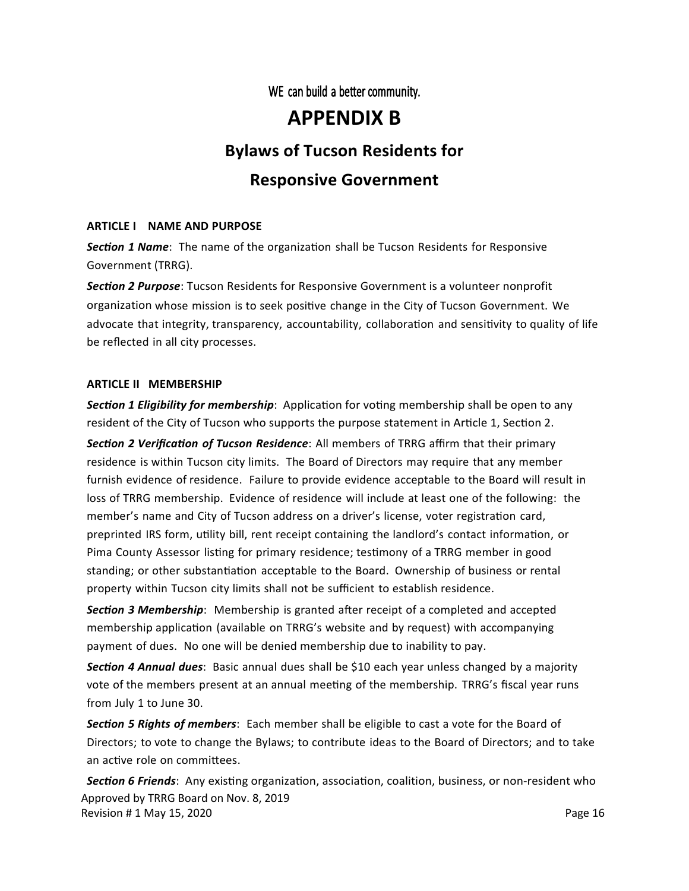WE can build a better community.

# **APPENDIX B**

## **Bylaws of Tucson Residents for**

### **Responsive Government**

#### **ARTICLE I NAME AND PURPOSE**

*Section 1 Name*: The name of the organization shall be Tucson Residents for Responsive Government (TRRG).

*Section 2 Purpose*: Tucson Residents for Responsive Government is a volunteer nonprofit organization whose mission is to seek positive change in the City of Tucson Government. We advocate that integrity, transparency, accountability, collaboration and sensitivity to quality of life be reflected in all city processes.

#### **ARTICLE II MEMBERSHIP**

*Section 1 Eligibility for membership*: Application for voting membership shall be open to any resident of the City of Tucson who supports the purpose statement in Article 1, Section 2.

*Section 2 Verification of Tucson Residence*: All members of TRRG affirm that their primary residence is within Tucson city limits. The Board of Directors may require that any member furnish evidence of residence. Failure to provide evidence acceptable to the Board will result in loss of TRRG membership. Evidence of residence will include at least one of the following: the member's name and City of Tucson address on a driver's license, voter registration card, preprinted IRS form, utility bill, rent receipt containing the landlord's contact information, or Pima County Assessor listing for primary residence; testimony of a TRRG member in good standing; or other substantiation acceptable to the Board. Ownership of business or rental property within Tucson city limits shall not be sufficient to establish residence.

*Section 3 Membership*: Membership is granted after receipt of a completed and accepted membership application (available on TRRG's website and by request) with accompanying payment of dues. No one will be denied membership due to inability to pay.

*Section 4 Annual dues*: Basic annual dues shall be \$10 each year unless changed by a majority vote of the members present at an annual meeting of the membership. TRRG's fiscal year runs from July 1 to June 30.

*Section 5 Rights of members*: Each member shall be eligible to cast a vote for the Board of Directors; to vote to change the Bylaws; to contribute ideas to the Board of Directors; and to take an active role on committees.

*Section 6 Friends*: Any existing organization, association, coalition, business, or non-resident who Approved by TRRG Board on Nov. 8, 2019 Revision # 1 May 15, 2020 **Page 16** Page 16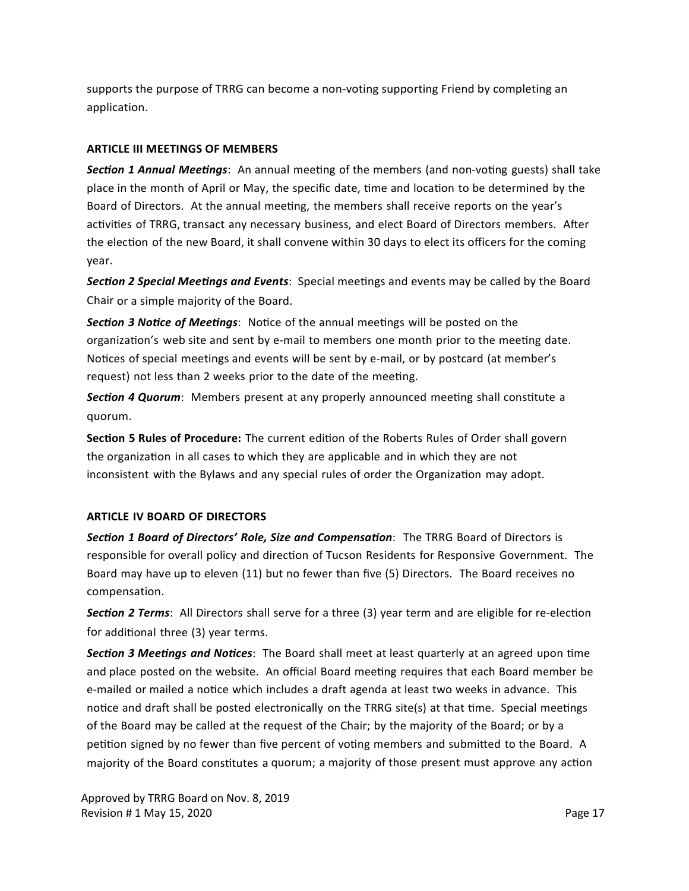supports the purpose of TRRG can become a non-voting supporting Friend by completing an application.

#### **ARTICLE III MEETINGS OF MEMBERS**

*Section 1 Annual Meetings*: An annual meeting of the members (and non-voting guests) shall take place in the month of April or May, the specific date, time and location to be determined by the Board of Directors. At the annual meeting, the members shall receive reports on the year's activities of TRRG, transact any necessary business, and elect Board of Directors members. After the election of the new Board, it shall convene within 30 days to elect its officers for the coming year.

*Section 2 Special Meetings and Events*: Special meetings and events may be called by the Board Chair or a simple majority of the Board.

*Section 3 Notice of Meetings*: Notice of the annual meetings will be posted on the organization's web site and sent by e-mail to members one month prior to the meeting date. Notices of special meetings and events will be sent by e-mail, or by postcard (at member's request) not less than 2 weeks prior to the date of the meeting.

*Section 4 Quorum*: Members present at any properly announced meeting shall constitute a quorum.

**Section 5 Rules of Procedure:** The current edition of the Roberts Rules of Order shall govern the organization in all cases to which they are applicable and in which they are not inconsistent with the Bylaws and any special rules of order the Organization may adopt.

#### **ARTICLE IV BOARD OF DIRECTORS**

*Section 1 Board of Directors' Role, Size and Compensation*: The TRRG Board of Directors is responsible for overall policy and direction of Tucson Residents for Responsive Government. The Board may have up to eleven (11) but no fewer than five (5) Directors. The Board receives no compensation.

*Section 2 Terms*: All Directors shall serve for a three (3) year term and are eligible for re-election for additional three (3) year terms.

*Section 3 Meetings and Notices*: The Board shall meet at least quarterly at an agreed upon time and place posted on the website. An official Board meeting requires that each Board member be e-mailed or mailed a notice which includes a draft agenda at least two weeks in advance. This notice and draft shall be posted electronically on the TRRG site(s) at that time. Special meetings of the Board may be called at the request of the Chair; by the majority of the Board; or by a petition signed by no fewer than five percent of voting members and submitted to the Board. A majority of the Board constitutes a quorum; a majority of those present must approve any action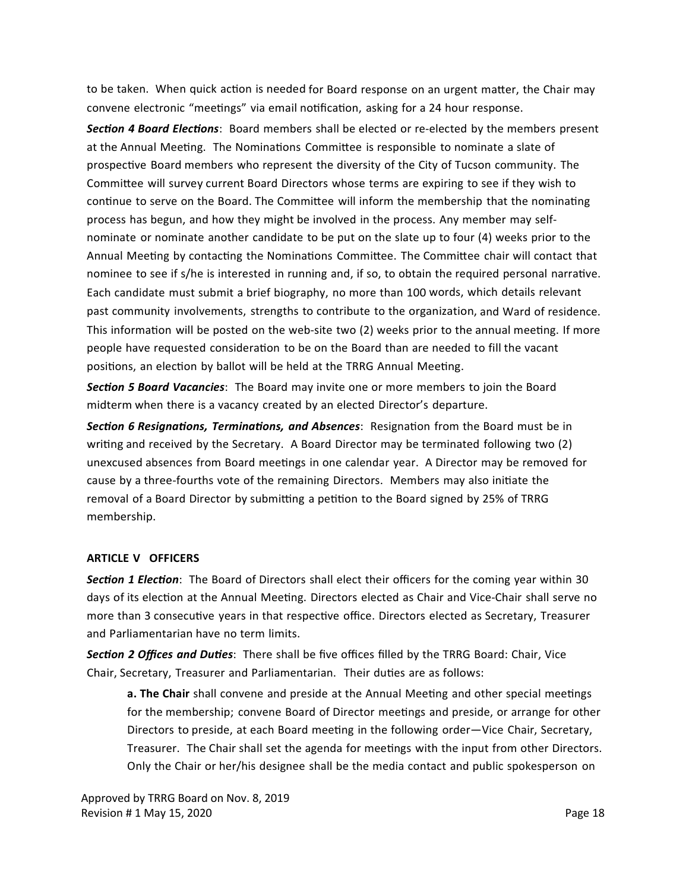to be taken. When quick action is needed for Board response on an urgent matter, the Chair may convene electronic "meetings" via email notification, asking for a 24 hour response.

*Section 4 Board Elections*: Board members shall be elected or re-elected by the members present at the Annual Meeting. The Nominations Committee is responsible to nominate a slate of prospective Board members who represent the diversity of the City of Tucson community. The Committee will survey current Board Directors whose terms are expiring to see if they wish to continue to serve on the Board. The Committee will inform the membership that the nominating process has begun, and how they might be involved in the process. Any member may selfnominate or nominate another candidate to be put on the slate up to four (4) weeks prior to the Annual Meeting by contacting the Nominations Committee. The Committee chair will contact that nominee to see if s/he is interested in running and, if so, to obtain the required personal narrative. Each candidate must submit a brief biography, no more than 100 words, which details relevant past community involvements, strengths to contribute to the organization, and Ward of residence. This information will be posted on the web-site two (2) weeks prior to the annual meeting. If more people have requested consideration to be on the Board than are needed to fill the vacant positions, an election by ballot will be held at the TRRG Annual Meeting.

*Section 5 Board Vacancies*: The Board may invite one or more members to join the Board midterm when there is a vacancy created by an elected Director's departure.

*Section 6 Resignations, Terminations, and Absences*: Resignation from the Board must be in writing and received by the Secretary. A Board Director may be terminated following two (2) unexcused absences from Board meetings in one calendar year. A Director may be removed for cause by a three-fourths vote of the remaining Directors. Members may also initiate the removal of a Board Director by submitting a petition to the Board signed by 25% of TRRG membership.

#### **ARTICLE V OFFICERS**

*Section 1 Election*: The Board of Directors shall elect their officers for the coming year within 30 days of its election at the Annual Meeting. Directors elected as Chair and Vice-Chair shall serve no more than 3 consecutive years in that respective office. Directors elected as Secretary, Treasurer and Parliamentarian have no term limits.

*Section 2 Offices and Duties*: There shall be five offices filled by the TRRG Board: Chair, Vice Chair, Secretary, Treasurer and Parliamentarian. Their duties are as follows:

**a. The Chair** shall convene and preside at the Annual Meeting and other special meetings for the membership; convene Board of Director meetings and preside, or arrange for other Directors to preside, at each Board meeting in the following order—Vice Chair, Secretary, Treasurer. The Chair shall set the agenda for meetings with the input from other Directors. Only the Chair or her/his designee shall be the media contact and public spokesperson on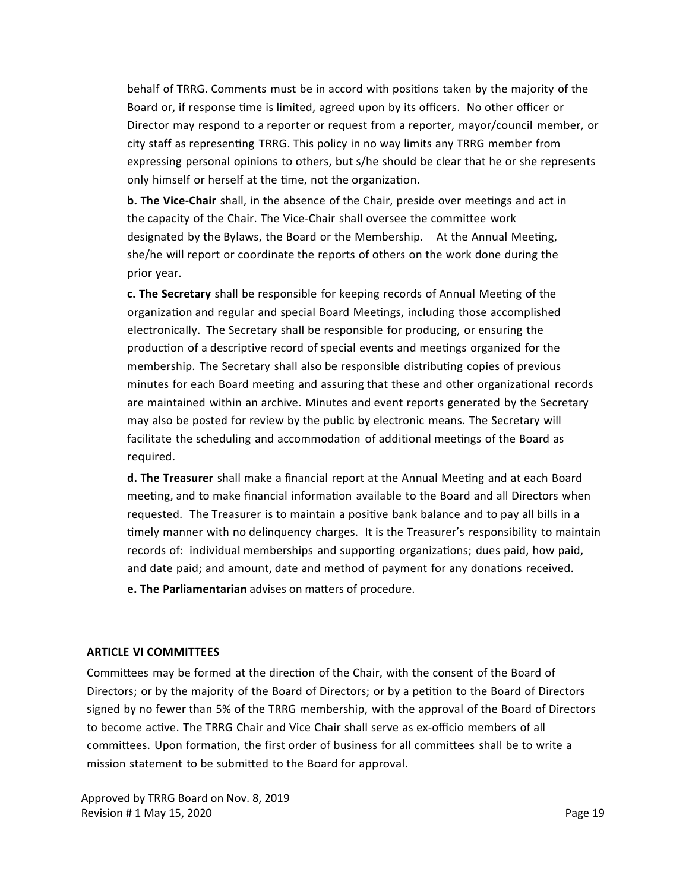behalf of TRRG. Comments must be in accord with positions taken by the majority of the Board or, if response time is limited, agreed upon by its officers. No other officer or Director may respond to a reporter or request from a reporter, mayor/council member, or city staff as representing TRRG. This policy in no way limits any TRRG member from expressing personal opinions to others, but s/he should be clear that he or she represents only himself or herself at the time, not the organization.

**b. The Vice-Chair** shall, in the absence of the Chair, preside over meetings and act in the capacity of the Chair. The Vice-Chair shall oversee the committee work designated by the Bylaws, the Board or the Membership. At the Annual Meeting, she/he will report or coordinate the reports of others on the work done during the prior year.

**c. The Secretary** shall be responsible for keeping records of Annual Meeting of the organization and regular and special Board Meetings, including those accomplished electronically. The Secretary shall be responsible for producing, or ensuring the production of a descriptive record of special events and meetings organized for the membership. The Secretary shall also be responsible distributing copies of previous minutes for each Board meeting and assuring that these and other organizational records are maintained within an archive. Minutes and event reports generated by the Secretary may also be posted for review by the public by electronic means. The Secretary will facilitate the scheduling and accommodation of additional meetings of the Board as required.

**d. The Treasurer** shall make a financial report at the Annual Meeting and at each Board meeting, and to make financial information available to the Board and all Directors when requested. The Treasurer is to maintain a positive bank balance and to pay all bills in a timely manner with no delinquency charges. It is the Treasurer's responsibility to maintain records of: individual memberships and supporting organizations; dues paid, how paid, and date paid; and amount, date and method of payment for any donations received.

**e. The Parliamentarian** advises on matters of procedure.

#### **ARTICLE VI COMMITTEES**

Committees may be formed at the direction of the Chair, with the consent of the Board of Directors; or by the majority of the Board of Directors; or by a petition to the Board of Directors signed by no fewer than 5% of the TRRG membership, with the approval of the Board of Directors to become active. The TRRG Chair and Vice Chair shall serve as ex-officio members of all committees. Upon formation, the first order of business for all committees shall be to write a mission statement to be submitted to the Board for approval.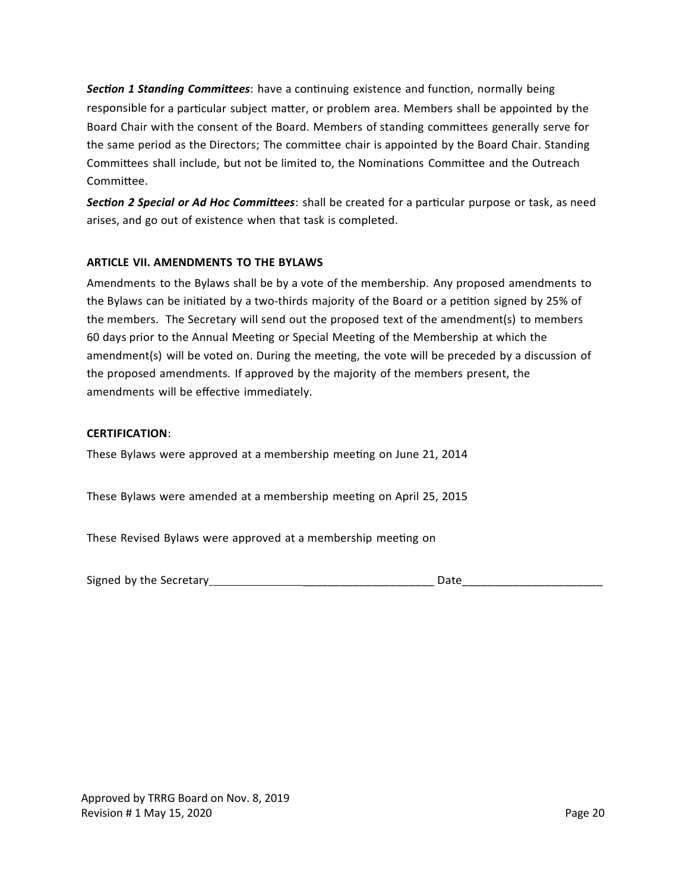*Section 1 Standing Committees*: have a continuing existence and function, normally being responsible for a particular subject matter, or problem area. Members shall be appointed by the Board Chair with the consent of the Board. Members of standing committees generally serve for the same period as the Directors; The committee chair is appointed by the Board Chair. Standing Committees shall include, but not be limited to, the Nominations Committee and the Outreach Committee.

*Section 2 Special or Ad Hoc Committees*: shall be created for a particular purpose or task, as need arises, and go out of existence when that task is completed.

#### **ARTICLE VII. AMENDMENTS TO THE BYLAWS**

Amendments to the Bylaws shall be by a vote of the membership. Any proposed amendments to the Bylaws can be initiated by a two-thirds majority of the Board or a petition signed by 25% of the members. The Secretary will send out the proposed text of the amendment(s) to members 60 days prior to the Annual Meeting or Special Meeting of the Membership at which the amendment(s) will be voted on. During the meeting, the vote will be preceded by a discussion of the proposed amendments. If approved by the majority of the members present, the amendments will be effective immediately.

#### **CERTIFICATION**:

These Bylaws were approved at a membership meeting on June 21, 2014

These Bylaws were amended at a membership meeting on April 25, 2015

These Revised Bylaws were approved at a membership meeting on

| Signed by the Secretary |  |
|-------------------------|--|
|-------------------------|--|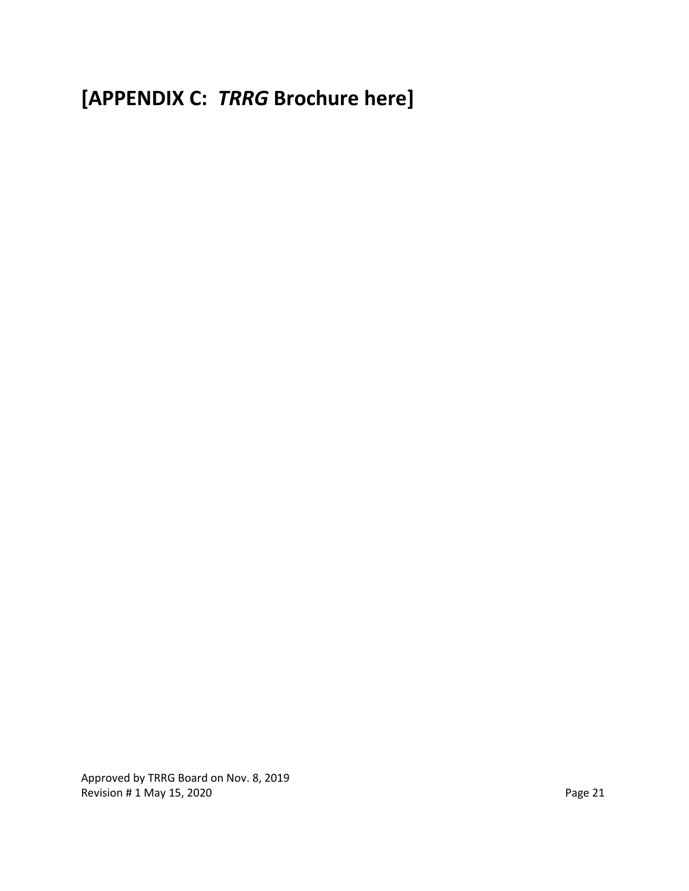**[APPENDIX C:** *TRRG* **Brochure here]**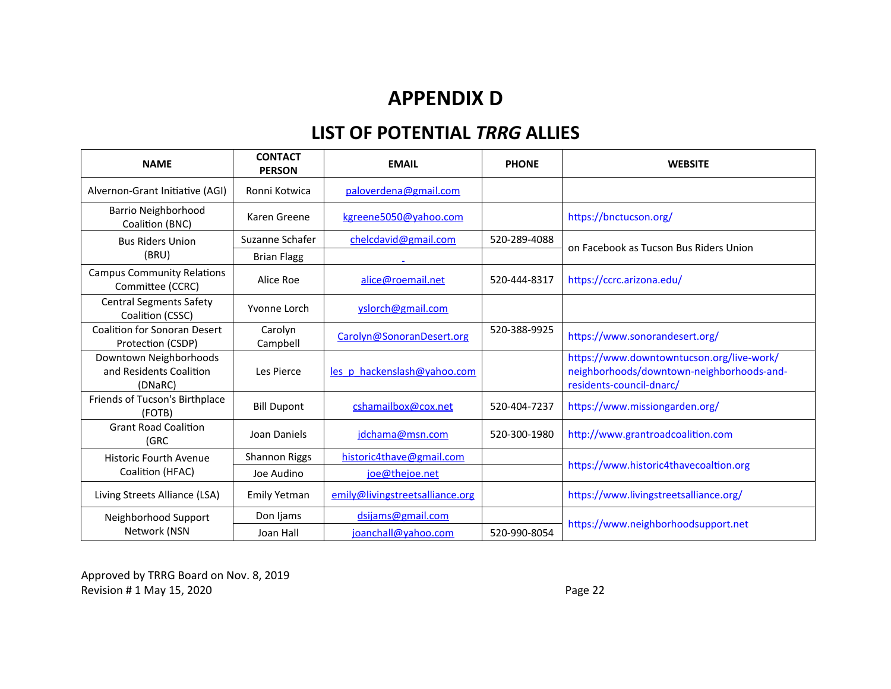# **APPENDIX D**

# **LIST OF POTENTIAL** *TRRG* **ALLIES**

| <b>NAME</b>                                                  | <b>CONTACT</b><br><b>PERSON</b> | <b>EMAIL</b>                    | <b>PHONE</b> | <b>WEBSITE</b>                                                                                                     |  |
|--------------------------------------------------------------|---------------------------------|---------------------------------|--------------|--------------------------------------------------------------------------------------------------------------------|--|
| Alvernon-Grant Initiative (AGI)                              | Ronni Kotwica                   | paloverdena@gmail.com           |              |                                                                                                                    |  |
| Barrio Neighborhood<br>Coalition (BNC)                       | Karen Greene                    | kgreene5050@yahoo.com           |              | https://bnctucson.org/                                                                                             |  |
| <b>Bus Riders Union</b>                                      | Suzanne Schafer                 | chelcdavid@gmail.com            | 520-289-4088 | on Facebook as Tucson Bus Riders Union                                                                             |  |
| (BRU)                                                        | <b>Brian Flagg</b>              |                                 |              |                                                                                                                    |  |
| <b>Campus Community Relations</b><br>Committee (CCRC)        | Alice Roe                       | alice@roemail.net               | 520-444-8317 | https://ccrc.arizona.edu/                                                                                          |  |
| <b>Central Segments Safety</b><br>Coalition (CSSC)           | Yvonne Lorch                    | yslorch@gmail.com               |              |                                                                                                                    |  |
| <b>Coalition for Sonoran Desert</b><br>Protection (CSDP)     | Carolyn<br>Campbell             | Carolyn@SonoranDesert.org       | 520-388-9925 | https://www.sonorandesert.org/                                                                                     |  |
| Downtown Neighborhoods<br>and Residents Coalition<br>(DNaRC) | Les Pierce                      | les p hackenslash@yahoo.com     |              | https://www.downtowntucson.org/live-work/<br>neighborhoods/downtown-neighborhoods-and-<br>residents-council-dnarc/ |  |
| Friends of Tucson's Birthplace<br>(FOTB)                     | <b>Bill Dupont</b>              | cshamailbox@cox.net             | 520-404-7237 | https://www.missiongarden.org/                                                                                     |  |
| <b>Grant Road Coalition</b><br>(GRC                          | Joan Daniels                    | jdchama@msn.com                 | 520-300-1980 | http://www.grantroadcoalition.com                                                                                  |  |
| <b>Historic Fourth Avenue</b>                                | <b>Shannon Riggs</b>            | historic4thave@gmail.com        |              | https://www.historic4thavecoaltion.org                                                                             |  |
| Coalition (HFAC)                                             | Joe Audino                      | joe@thejoe.net                  |              |                                                                                                                    |  |
| Living Streets Alliance (LSA)                                | Emily Yetman                    | emily@livingstreetsalliance.org |              | https://www.livingstreetsalliance.org/                                                                             |  |
| Neighborhood Support                                         | Don Ijams                       | dsijams@gmail.com               |              | https://www.neighborhoodsupport.net                                                                                |  |
| Network (NSN                                                 | Joan Hall                       | joanchall@yahoo.com             | 520-990-8054 |                                                                                                                    |  |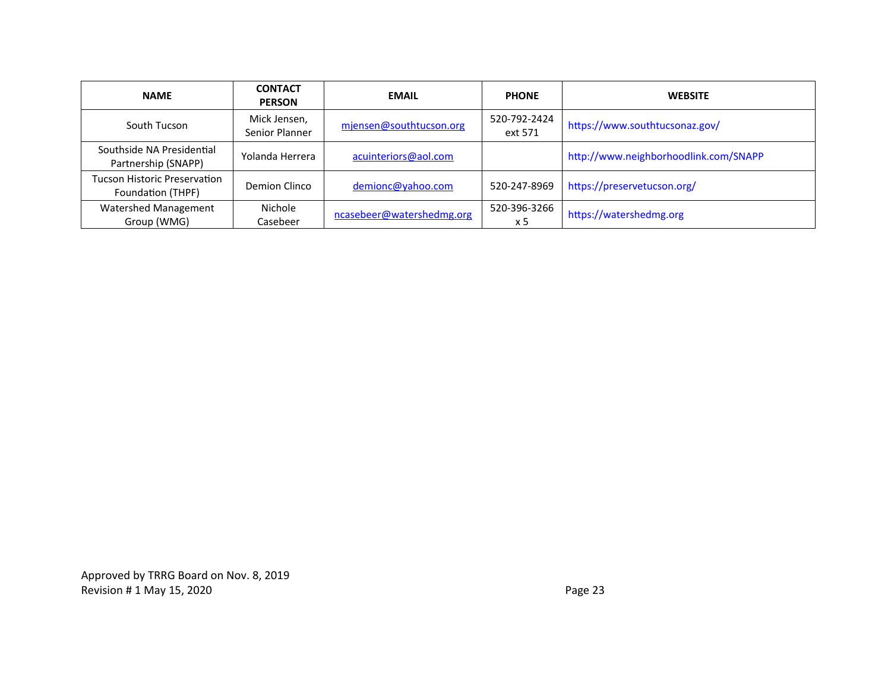| <b>NAME</b>                                       | <b>CONTACT</b><br><b>PERSON</b> | <b>EMAIL</b>              | <b>PHONE</b>            | <b>WEBSITE</b>                        |
|---------------------------------------------------|---------------------------------|---------------------------|-------------------------|---------------------------------------|
| South Tucson                                      | Mick Jensen,<br>Senior Planner  | mjensen@southtucson.org   | 520-792-2424<br>ext 571 | https://www.southtucsonaz.gov/        |
| Southside NA Presidential<br>Partnership (SNAPP)  | Yolanda Herrera                 | acuinteriors@aol.com      |                         | http://www.neighborhoodlink.com/SNAPP |
| Tucson Historic Preservation<br>Foundation (THPF) | Demion Clinco                   | demionc@yahoo.com         | 520-247-8969            | https://preservetucson.org/           |
| Watershed Management<br>Group (WMG)               | Nichole<br>Casebeer             | ncasebeer@watershedmg.org | 520-396-3266<br>x 5     | https://watershedmg.org               |